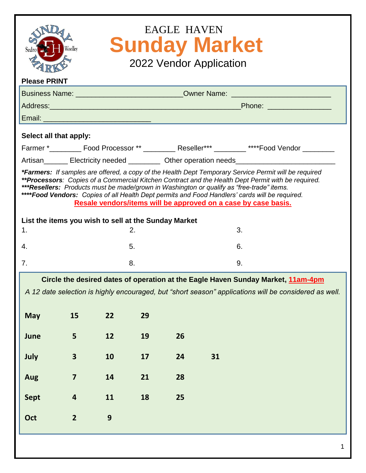| <b>EAGLE HAVEN</b><br><b>Sunday Market</b><br>Sedro<br>2022 Vendor Application                                                                                                                                                                                                                                                                                                                                                                                                |                                                                                                     |    |    |    |    |                                                                                                     |  |
|-------------------------------------------------------------------------------------------------------------------------------------------------------------------------------------------------------------------------------------------------------------------------------------------------------------------------------------------------------------------------------------------------------------------------------------------------------------------------------|-----------------------------------------------------------------------------------------------------|----|----|----|----|-----------------------------------------------------------------------------------------------------|--|
| <b>Please PRINT</b><br>Business Name: _______________________________Owner Name: ______________________                                                                                                                                                                                                                                                                                                                                                                       |                                                                                                     |    |    |    |    |                                                                                                     |  |
|                                                                                                                                                                                                                                                                                                                                                                                                                                                                               |                                                                                                     |    |    |    |    |                                                                                                     |  |
|                                                                                                                                                                                                                                                                                                                                                                                                                                                                               |                                                                                                     |    |    |    |    |                                                                                                     |  |
| Select all that apply:                                                                                                                                                                                                                                                                                                                                                                                                                                                        |                                                                                                     |    |    |    |    |                                                                                                     |  |
|                                                                                                                                                                                                                                                                                                                                                                                                                                                                               |                                                                                                     |    |    |    |    | Farmer *___________ Food Processor ** ____________ Reseller*** _________ ****Food Vendor __________ |  |
|                                                                                                                                                                                                                                                                                                                                                                                                                                                                               | Artisan________ Electricity needed ___________ Other operation needs_______________________________ |    |    |    |    |                                                                                                     |  |
| *Farmers: If samples are offered, a copy of the Health Dept Temporary Service Permit will be required<br>**Processors: Copies of a Commercial Kitchen Contract and the Health Dept Permit with be required.<br>***Resellers: Products must be made/grown in Washington or qualify as "free-trade" items.<br>**** Food Vendors: Copies of all Health Dept permits and Food Handlers' cards will be required.<br>Resale vendors/items will be approved on a case by case basis. |                                                                                                     |    |    |    |    |                                                                                                     |  |
| List the items you wish to sell at the Sunday Market                                                                                                                                                                                                                                                                                                                                                                                                                          |                                                                                                     |    |    |    |    |                                                                                                     |  |
| 1.                                                                                                                                                                                                                                                                                                                                                                                                                                                                            |                                                                                                     |    | 2. |    | 3. |                                                                                                     |  |
| 4.                                                                                                                                                                                                                                                                                                                                                                                                                                                                            |                                                                                                     |    | 5. |    | 6. |                                                                                                     |  |
| 7.                                                                                                                                                                                                                                                                                                                                                                                                                                                                            |                                                                                                     |    | 8. |    | 9. |                                                                                                     |  |
| Circle the desired dates of operation at the Eagle Haven Sunday Market, 11am-4pm<br>A 12 date selection is highly encouraged, but "short season" applications will be considered as well.<br>15<br>22<br>29<br><b>May</b>                                                                                                                                                                                                                                                     |                                                                                                     |    |    |    |    |                                                                                                     |  |
|                                                                                                                                                                                                                                                                                                                                                                                                                                                                               |                                                                                                     |    |    |    |    |                                                                                                     |  |
| June                                                                                                                                                                                                                                                                                                                                                                                                                                                                          | 5                                                                                                   | 12 | 19 | 26 |    |                                                                                                     |  |
| July                                                                                                                                                                                                                                                                                                                                                                                                                                                                          | $\mathbf{3}$                                                                                        | 10 | 17 | 24 | 31 |                                                                                                     |  |
| Aug                                                                                                                                                                                                                                                                                                                                                                                                                                                                           | $\overline{\mathbf{z}}$                                                                             | 14 | 21 | 28 |    |                                                                                                     |  |
| <b>Sept</b>                                                                                                                                                                                                                                                                                                                                                                                                                                                                   | $\overline{\mathbf{r}}$                                                                             | 11 | 18 | 25 |    |                                                                                                     |  |
| Oct                                                                                                                                                                                                                                                                                                                                                                                                                                                                           | $\overline{2}$                                                                                      | 9  |    |    |    |                                                                                                     |  |
|                                                                                                                                                                                                                                                                                                                                                                                                                                                                               |                                                                                                     |    |    |    |    |                                                                                                     |  |